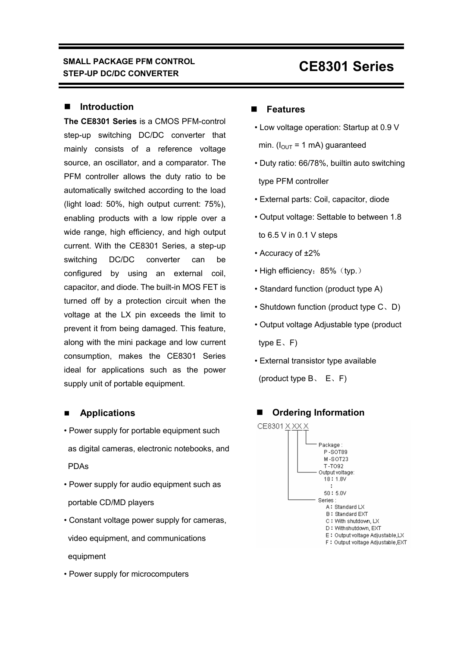#### **Introduction**

**The CE8301 Series** is a CMOS PFM-control step-up switching DC/DC converter that mainly consists of a reference voltage source, an oscillator, and a comparator. The PFM controller allows the duty ratio to be automatically switched according to the load (light load: 50%, high output current: 75%), enabling products with a low ripple over a wide range, high efficiency, and high output current. With the CE8301 Series, a step-up switching DC/DC converter can be configured by using an external coil, capacitor, and diode. The built-in MOS FET is turned off by a protection circuit when the voltage at the LX pin exceeds the limit to prevent it from being damaged. This feature, along with the mini package and low current consumption, makes the CE8301 Series ideal for applications such as the power supply unit of portable equipment.

#### **Applications**

- Power supply for portable equipment such as digital cameras, electronic notebooks, and PDAs
- Power supply for audio equipment such as portable CD/MD players
- Constant voltage power supply for cameras, video equipment, and communications equipment
- Power supply for microcomputers

#### **Features**

- Low voltage operation: Startup at 0.9 V min. ( $I_{OUT}$  = 1 mA) guaranteed
- Duty ratio: 66/78%, builtin auto switching type PFM controller
- External parts: Coil, capacitor, diode
- Output voltage: Settable to between 1.8 to 6.5 V in 0.1 V steps
- Accuracy of ±2%
- High efficiency: 85% (typ.)
- Standard function (product type A)
- Shutdown function (product type C、D)
- Output voltage Adjustable type (product type E、F)
- External transistor type available
- (product type  $B_5$ ,  $E_5$ , F)

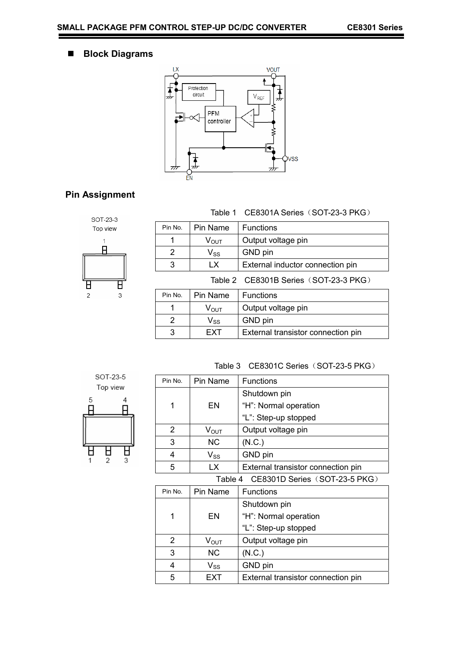# **Block Diagrams**



# **Pin Assignment**



|  | Table 1 CE8301A Series (SOT-23-3 PKG) |
|--|---------------------------------------|
|  |                                       |

| Pin No.                               | Pin Name                               | <b>Functions</b>                   |  |  |
|---------------------------------------|----------------------------------------|------------------------------------|--|--|
| 1                                     | Output voltage pin<br>$V_{\text{OUT}}$ |                                    |  |  |
| 2                                     | GND pin<br>$V_{SS}$                    |                                    |  |  |
| 3                                     | LX.                                    | External inductor connection pin   |  |  |
| Table 2 CE8301B Series (SOT-23-3 PKG) |                                        |                                    |  |  |
| Pin No.                               | Pin Name                               | <b>Functions</b>                   |  |  |
| 1                                     | $V_{\text{OUT}}$                       | Output voltage pin                 |  |  |
| $\mathcal{P}$                         | $V_{SS}$                               | GND pin                            |  |  |
| 3                                     | <b>EXT</b>                             | External transistor connection pin |  |  |



| Table 3 CE8301C Series (SOT-23-5 PKG) |           |                                    |  |
|---------------------------------------|-----------|------------------------------------|--|
| Pin No.                               | Pin Name  | <b>Functions</b>                   |  |
|                                       |           | Shutdown pin                       |  |
| 1                                     | EN        | "H": Normal operation              |  |
|                                       |           | "L": Step-up stopped               |  |
| $\overline{2}$                        | $V_{OUT}$ | Output voltage pin                 |  |
| 3                                     | NC.       | (N.C.)                             |  |
| 4                                     | $V_{SS}$  | GND pin                            |  |
| 5                                     | LX.       | External transistor connection pin |  |
| Table 4 CE8301D Series (SOT-23-5 PKG) |           |                                    |  |
| Pin No.                               | Pin Name  | <b>Functions</b>                   |  |
|                                       |           |                                    |  |

| PIN NO. | Pin Name                   | <b>Functions</b>                   |
|---------|----------------------------|------------------------------------|
|         |                            | Shutdown pin                       |
| 1       | EN                         | "H": Normal operation              |
|         |                            | "L": Step-up stopped               |
| 2       | $V_{\text{OUT}}$           | Output voltage pin                 |
| 3       | <b>NC</b>                  | (N.C.)                             |
| 4       | $\mathsf{V}_{\mathsf{SS}}$ | GND pin                            |
| 5       | EXT                        | External transistor connection pin |

۰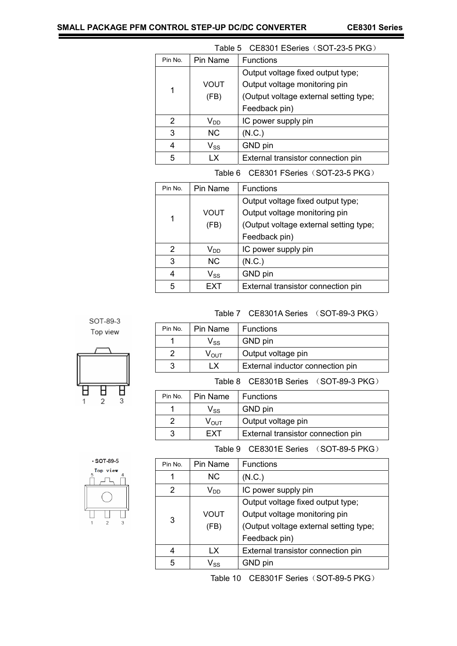| Table 5 CE8301 ESeries (SOT-23-5 PKG) |                              |                                        |  |  |
|---------------------------------------|------------------------------|----------------------------------------|--|--|
| Pin No.                               | Pin Name<br><b>Functions</b> |                                        |  |  |
|                                       |                              | Output voltage fixed output type;      |  |  |
| 1                                     | VOUT                         | Output voltage monitoring pin          |  |  |
|                                       | (FB)                         | (Output voltage external setting type; |  |  |
|                                       |                              | Feedback pin)                          |  |  |
| 2                                     | $V_{DD}$                     | IC power supply pin                    |  |  |
| 3                                     | <b>NC</b>                    | (N.C.)                                 |  |  |
| 4                                     | $\mathsf{V}_{\mathsf{SS}}$   | GND pin                                |  |  |
| 5                                     | ΙX                           | External transistor connection pin     |  |  |

Table 6 CE8301 FSeries (SOT-23-5 PKG)

| Pin No.       | Pin Name                   | <b>Functions</b>                       |
|---------------|----------------------------|----------------------------------------|
|               |                            | Output voltage fixed output type;      |
| 1             | VOUT                       | Output voltage monitoring pin          |
|               | (FB)                       | (Output voltage external setting type; |
|               |                            | Feedback pin)                          |
| $\mathcal{P}$ | V <sub>DD</sub>            | IC power supply pin                    |
| 3             | <b>NC</b>                  | (N.C.)                                 |
| 4             | $\mathsf{V}_{\mathsf{SS}}$ | GND pin                                |
| 5             | FXT                        | External transistor connection pin     |

Table 7 CE8301A Series (SOT-89-3 PKG)

| SOT-89-3<br>Top view     |  |
|--------------------------|--|
|                          |  |
| d<br>$\overline{2}$<br>3 |  |

| Pin No.                               | Pin Name                               | <b>Functions</b>                   |  |  |  |
|---------------------------------------|----------------------------------------|------------------------------------|--|--|--|
| 1                                     | $\mathsf{V}_{\mathsf{SS}}$             | GND pin                            |  |  |  |
| $\overline{2}$                        | $\mathsf{V}_{\mathsf{OUT}}$            | Output voltage pin                 |  |  |  |
| 3                                     | LX<br>External inductor connection pin |                                    |  |  |  |
| Table 8 CE8301B Series (SOT-89-3 PKG) |                                        |                                    |  |  |  |
| Pin No.                               | Pin Name                               | <b>Functions</b>                   |  |  |  |
| 1                                     | $\mathsf{V}_{\mathsf{SS}}$             | GND pin                            |  |  |  |
| 2                                     | $\rm V_{\rm OUT}$                      | Output voltage pin                 |  |  |  |
| 3                                     | FXT                                    | External transistor connection pin |  |  |  |

 $\cdot$  SOT-89-5 Top view  $\overline{\mathbf{A}}$  $\mathbf{L}$  $\overline{1}$  $\sqrt{2}$  $\sqrt{3}$ 

| Pin No.       | Pin Name                   | <b>Functions</b>                       |
|---------------|----------------------------|----------------------------------------|
|               | ΝC                         | (N.C.)                                 |
| $\mathcal{P}$ | $\mathsf{V}_{\mathsf{DD}}$ | IC power supply pin                    |
|               |                            | Output voltage fixed output type;      |
| 3             | VOUT                       | Output voltage monitoring pin          |
|               | (FB)                       | (Output voltage external setting type; |
|               |                            | Feedback pin)                          |
|               | LX                         | External transistor connection pin     |
| 5             | $V_{SS}$                   | GND pin                                |

Table 10 CE8301F Series (SOT-89-5 PKG)

Table 9 CE8301E Series (SOT-89-5 PKG)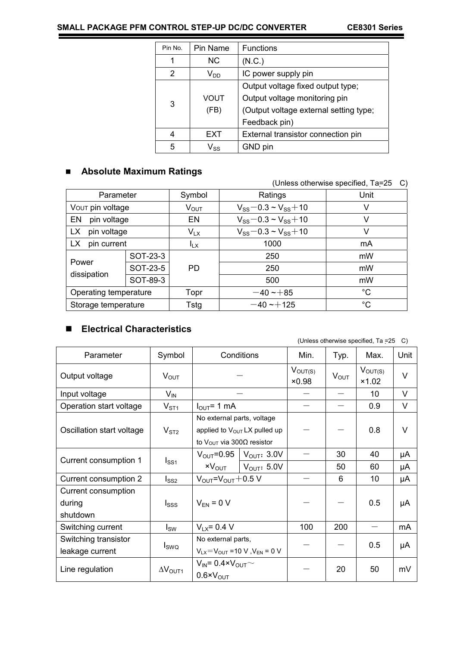۰

| Pin No.       | Pin Name                   | <b>Functions</b>                       |
|---------------|----------------------------|----------------------------------------|
| 1             | NC.                        | (N.C.)                                 |
| $\mathcal{P}$ | $\mathsf{V}_{\mathsf{DD}}$ | IC power supply pin                    |
|               |                            | Output voltage fixed output type;      |
| 3             | VOUT                       | Output voltage monitoring pin          |
|               | (FB)                       | (Output voltage external setting type; |
|               |                            | Feedback pin)                          |
| 4             | EXT                        | External transistor connection pin     |
| 5             | Vss                        | GND pin                                |

# **Absolute Maximum Ratings**

#### (Unless otherwise specified, Ta=25 C)

| Unit                                |
|-------------------------------------|
| $V_{SS}$ – 0.3 ~ $V_{SS}$ + 10<br>V |
| $V_{SS}$ – 0.3 ~ $V_{SS}$ + 10<br>v |
| $V_{SS}$ – 0.3 ~ $V_{SS}$ + 10<br>v |
| mA                                  |
| mW                                  |
| mW                                  |
| mW                                  |
| $^{\circ}C$                         |
| $^{\circ}C$                         |
|                                     |

# **Electrical Characteristics**

#### (Unless otherwise specified, Ta =25 C)

| Parameter                                 | Symbol                   |                                                                                                                         | Conditions                      | Min.                  | Typ.             | Max.                  | Unit   |
|-------------------------------------------|--------------------------|-------------------------------------------------------------------------------------------------------------------------|---------------------------------|-----------------------|------------------|-----------------------|--------|
| Output voltage                            | $V_{\text{OUT}}$         |                                                                                                                         |                                 | $V_{OUT(S)}$<br>×0.98 | $V_{\text{OUT}}$ | $V_{OUT(S)}$<br>×1.02 | V      |
| Input voltage                             | $V_{\text{IN}}$          |                                                                                                                         |                                 |                       |                  | 10                    | V      |
| Operation start voltage                   | V <sub>ST1</sub>         | $I_{\text{OUT}}$ = 1 mA                                                                                                 |                                 |                       |                  | 0.9                   | V      |
| Oscillation start voltage                 | V <sub>ST2</sub>         | No external parts, voltage<br>applied to V <sub>OUT</sub> LX pulled up<br>to V <sub>OUT</sub> via 300 $\Omega$ resistor |                                 |                       |                  | 0.8                   | $\vee$ |
|                                           | $I_{SS1}$                | $V_{\text{OUT}} = 0.95$                                                                                                 | $\vert$ V <sub>OUT</sub> : 3.0V |                       | 30               | 40                    | μA     |
| Current consumption 1                     |                          | $xV_{\text{OUT}}$                                                                                                       | $\vert$ V <sub>OUT</sub> : 5.0V |                       | 50               | 60                    | μA     |
| Current consumption 2                     | $I_{SS2}$                | $V_{\text{OUT}}=V_{\text{OUT}}+0.5$ V                                                                                   |                                 |                       | 6                | 10                    | μA     |
| Current consumption<br>during<br>shutdown | Isss                     | $V_{EN} = 0 V$                                                                                                          |                                 |                       |                  | 0.5                   | μA     |
| Switching current                         | $I_{SW}$                 | $V_{1x} = 0.4 V$                                                                                                        |                                 | 100                   | 200              |                       | mA     |
| Switching transistor<br>leakage current   | $I_{SWQ}$                | No external parts,<br>$V_{LX} = V_{OUT} = 10 V$ , $V_{EN} = 0 V$                                                        |                                 |                       |                  | 0.5                   | μA     |
| Line regulation                           | $\Delta V_{\text{OUT1}}$ | $V_{IN} = 0.4 \times V_{OUT}$<br>$0.6 \times V_{\text{OUT}}$                                                            |                                 |                       | 20               | 50                    | mV     |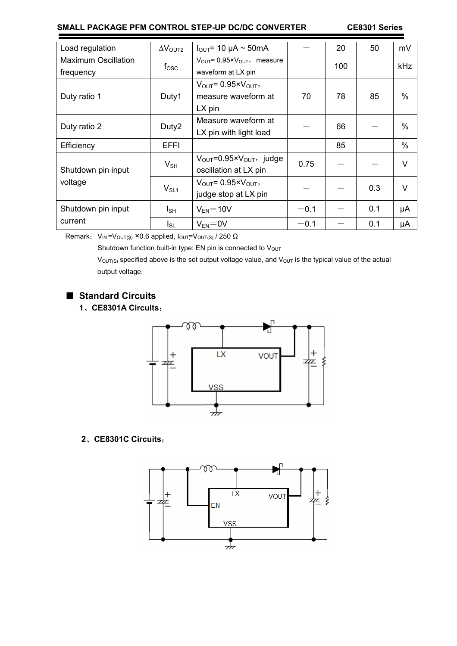| Load regulation               | $\Delta V_{\text{OUT2}}$ | $I_{\text{OUT}}$ = 10 µA ~ 50mA                         |        | 20  | 50  | mV     |
|-------------------------------|--------------------------|---------------------------------------------------------|--------|-----|-----|--------|
| <b>Maximum Oscillation</b>    | $f_{\rm OSC}$            | $V_{\text{OUT}} = 0.95 \times V_{\text{OUT}}$ , measure |        | 100 |     | kHz    |
| frequency                     |                          | waveform at LX pin                                      |        |     |     |        |
|                               |                          | $V_{\text{OUT}}$ = 0.95× $V_{\text{OUT}}$ ,             |        |     |     |        |
| Duty ratio 1                  | Duty1                    | measure waveform at                                     | 70     | 78  | 85  | $\%$   |
|                               |                          | $LX$ pin                                                |        |     |     |        |
| Duty ratio 2                  | Duty2                    | Measure waveform at                                     |        | 66  |     | $\%$   |
|                               |                          | LX pin with light load                                  |        |     |     |        |
| Efficiency                    | <b>EFFI</b>              |                                                         |        | 85  |     | $\%$   |
| Shutdown pin input<br>voltage | $V_{SH}$                 | $V_{\text{OUT}} = 0.95 \times V_{\text{OUT}}$ , judge   | 0.75   |     |     | V      |
|                               |                          | oscillation at LX pin                                   |        |     |     |        |
|                               | $V_{SL1}$                | $V_{\text{OUT}} = 0.95 \times V_{\text{OUT}}$           |        |     | 0.3 | $\vee$ |
|                               |                          | judge stop at LX pin                                    |        |     |     |        |
| Shutdown pin input            | I <sub>SH</sub>          | $V_{EN} = 10V$                                          | $-0.1$ |     | 0.1 | μA     |
| current                       | $I_{SL}$                 | $V_{FN} = 0V$                                           | $-0.1$ |     | 0.1 | μA     |

Remark:  $V_{IN} = V_{OUT(S)} \times 0.6$  applied,  $I_{OUT} = V_{OUT(S)} / 250 \Omega$ 

Shutdown function built-in type: EN pin is connected to  $V<sub>OUT</sub>$ 

 $V<sub>OUT(S)</sub>$  specified above is the set output voltage value, and  $V<sub>OUT</sub>$  is the typical value of the actual output voltage.

# ■ **Standard Circuits**

# **1**、**CE8301A Circuits**:



#### **2**、**CE8301C Circuits**:

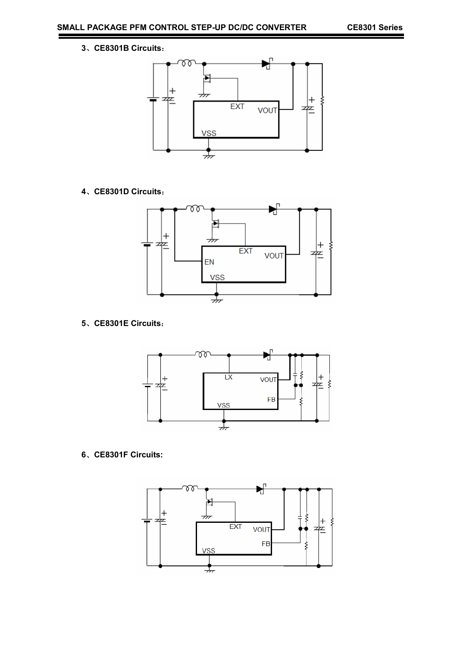、**CE8301B Circuits**:



、**CE8301D Circuits**:



、**CE8301E Circuits**:



、**CE8301F Circuits:** 

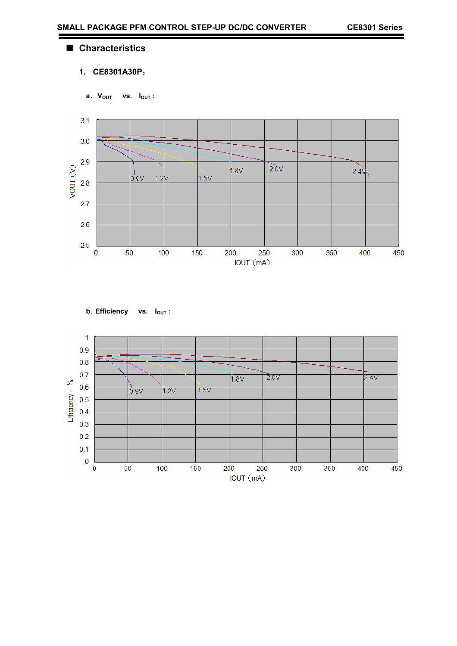#### ■ **Characteristics**

# **1. CE8301A30P**:

**a**、 **VOUT vs. IOUT :** 





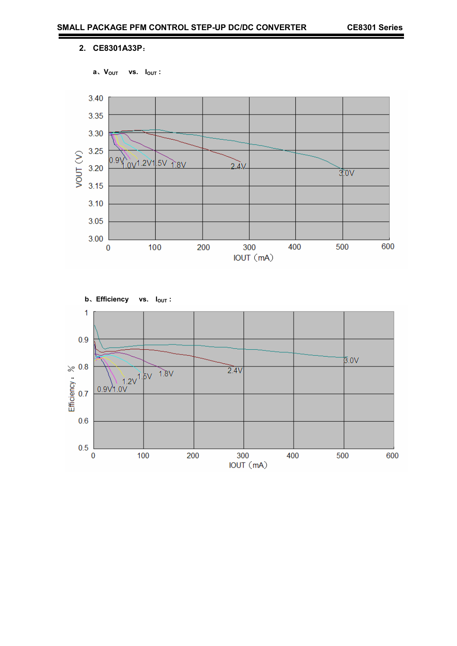#### **2. CE8301A33P**:





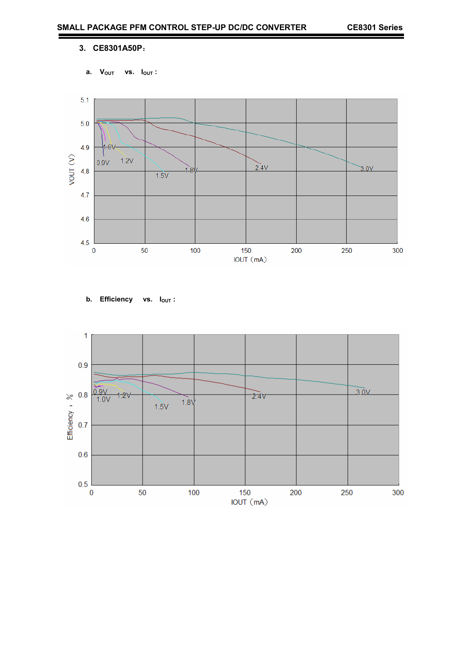#### **3. CE8301A50P**:

a. V<sub>OUT</sub> vs. I<sub>OUT</sub>:



**b.** Efficiency vs.  $I_{OUT}$ :

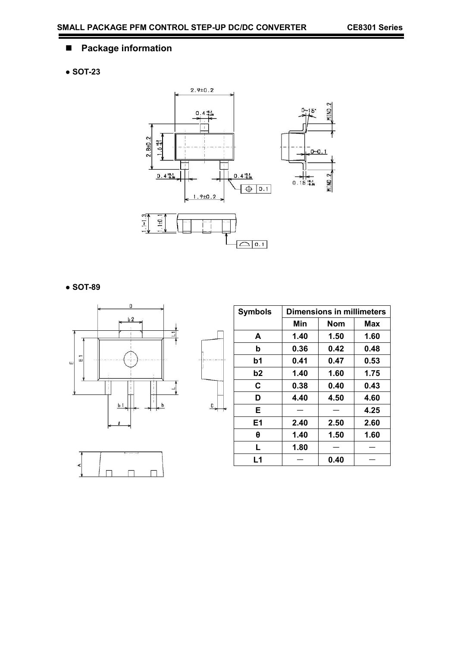۰

# **Package information**

# **● SOT-23**



 $\overline{a}$ 

**● SOT-89** 





| <b>Symbols</b> | <b>Dimensions in millimeters</b> |      |      |  |
|----------------|----------------------------------|------|------|--|
|                | Min                              | Nom  | Max  |  |
| A              | 1.40                             | 1.50 | 1.60 |  |
| b              | 0.36                             | 0.42 | 0.48 |  |
| b1             | 0.41                             | 0.47 | 0.53 |  |
| b2             | 1.40                             | 1.60 | 1.75 |  |
| C              | 0.38                             | 0.40 | 0.43 |  |
| D              | 4.40                             | 4.50 | 4.60 |  |
| E              |                                  |      | 4.25 |  |
| E <sub>1</sub> | 2.40                             | 2.50 | 2.60 |  |
| θ              | 1.40                             | 1.50 | 1.60 |  |
| L              | 1.80                             |      |      |  |
| L <sub>1</sub> |                                  | 0.40 |      |  |